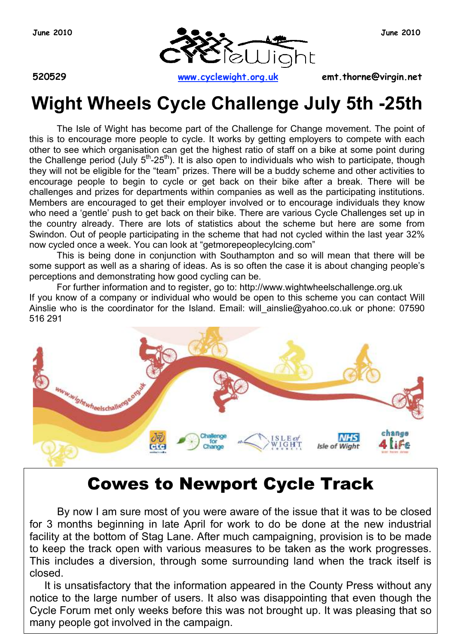

**520529 www.cyclewight.org.uk emt.thorne@virgin.net**

# **Wight Wheels Cycle Challenge July 5th -25th**

The Isle of Wight has become part of the Challenge for Change movement. The point of this is to encourage more people to cycle. It works by getting employers to compete with each other to see which organisation can get the highest ratio of staff on a bike at some point during the Challenge period (July  $5<sup>th</sup>-25<sup>th</sup>$ ). It is also open to individuals who wish to participate, though they will not be eligible for the "team" prizes. There will be a buddy scheme and other activities to encourage people to begin to cycle or get back on their bike after a break. There will be challenges and prizes for departments within companies as well as the participating institutions. Members are encouraged to get their employer involved or to encourage individuals they know who need a 'gentle' push to get back on their bike. There are various Cycle Challenges set up in the country already. There are lots of statistics about the scheme but here are some from Swindon. Out of people participating in the scheme that had not cycled within the last year 32% now cycled once a week. You can look at "getmorepeoplecylcing.com"

This is being done in conjunction with Southampton and so will mean that there will be some support as well as a sharing of ideas. As is so often the case it is about changing people's perceptions and demonstrating how good cycling can be.

For further information and to register, go to: http://www.wightwheelschallenge.org.uk If you know of a company or individual who would be open to this scheme you can contact Will Ainslie who is the coordinator for the Island. Email: will ainslie@yahoo.co.uk or phone: 07590 516 291



# Cowes to Newport Cycle Track

By now I am sure most of you were aware of the issue that it was to be closed for 3 months beginning in late April for work to do be done at the new industrial facility at the bottom of Stag Lane. After much campaigning, provision is to be made to keep the track open with various measures to be taken as the work progresses. This includes a diversion, through some surrounding land when the track itself is closed.

It is unsatisfactory that the information appeared in the County Press without any notice to the large number of users. It also was disappointing that even though the Cycle Forum met only weeks before this was not brought up. It was pleasing that so many people got involved in the campaign.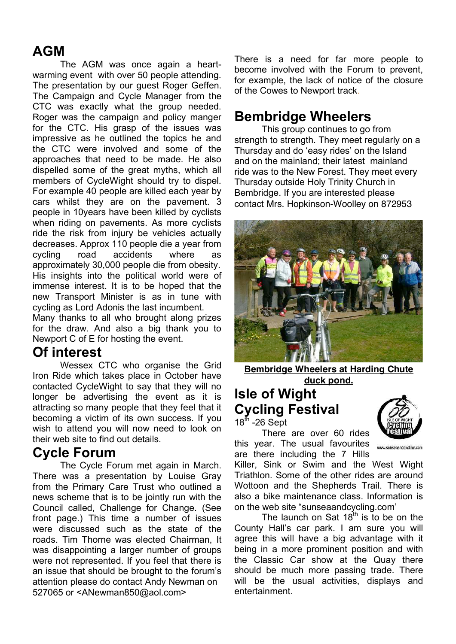# **AGM**

The AGM was once again a heartwarming event with over 50 people attending. The presentation by our guest Roger Geffen. The Campaign and Cycle Manager from the CTC was exactly what the group needed. Roger was the campaign and policy manger for the CTC. His grasp of the issues was impressive as he outlined the topics he and the CTC were involved and some of the approaches that need to be made. He also dispelled some of the great myths, which all members of CycleWight should try to dispel. For example 40 people are killed each year by cars whilst they are on the pavement. 3 people in 10years have been killed by cyclists when riding on pavements. As more cyclists ride the risk from injury be vehicles actually decreases. Approx 110 people die a year from cycling road accidents where as approximately 30,000 people die from obesity. His insights into the political world were of immense interest. It is to be hoped that the new Transport Minister is as in tune with cycling as Lord Adonis the last incumbent.

Many thanks to all who brought along prizes for the draw. And also a big thank you to Newport C of E for hosting the event.

### **Of interest**

Wessex CTC who organise the Grid Iron Ride which takes place in October have contacted CycleWight to say that they will no longer be advertising the event as it is attracting so many people that they feel that it becoming a victim of its own success. If you wish to attend you will now need to look on their web site to find out details.

### **Cycle Forum**

The Cycle Forum met again in March. There was a presentation by Louise Gray from the Primary Care Trust who outlined a news scheme that is to be jointly run with the Council called, Challenge for Change. (See front page.) This time a number of issues were discussed such as the state of the roads. Tim Thorne was elected Chairman, It was disappointing a larger number of groups were not represented. If you feel that there is an issue that should be brought to the forum's attention please do contact Andy Newman on 527065 or <ANewman850@aol.com>

There is a need for far more people to become involved with the Forum to prevent, for example, the lack of notice of the closure of the Cowes to Newport track.

## **Bembridge Wheelers**

This group continues to go from strength to strength. They meet regularly on a Thursday and do 'easy rides' on the Island and on the mainland; their latest mainland ride was to the New Forest. They meet every Thursday outside Holy Trinity Church in Bembridge. If you are interested please contact Mrs. Hopkinson-Woolley on 872953



**Bembridge Wheelers at Harding Chute duck pond.**

#### **Isle of Wight Cycling Festival**   $18^{\text{th}}$  -26 Sept

There are over 60 rides this year. The usual favourites are there including the 7 Hills



www.sunseaandcycling.com

Killer, Sink or Swim and the West Wight Triathlon. Some of the other rides are around Wottoon and the Shepherds Trail. There is also a bike maintenance class. Information is on the web site "sunseaandcycling.com'

The launch on Sat  $18<sup>th</sup>$  is to be on the County Hall's car park. I am sure you will agree this will have a big advantage with it being in a more prominent position and with the Classic Car show at the Quay there should be much more passing trade. There will be the usual activities, displays and entertainment.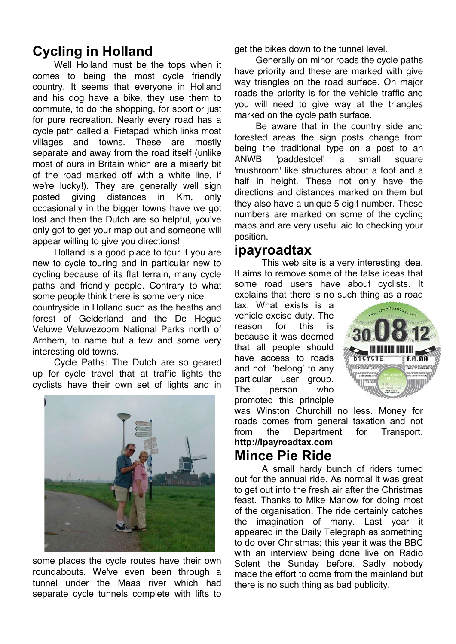# **Cycling in Holland**

Well Holland must be the tops when it comes to being the most cycle friendly country. It seems that everyone in Holland and his dog have a bike, they use them to commute, to do the shopping, for sport or just for pure recreation. Nearly every road has a cycle path called a 'Fietspad' which links most villages and towns. These are mostly separate and away from the road itself (unlike most of ours in Britain which are a miserly bit of the road marked off with a white line, if we're lucky!). They are generally well sign posted giving distances in Km, only occasionally in the bigger towns have we got lost and then the Dutch are so helpful, you've only got to get your map out and someone will appear willing to give you directions!

Holland is a good place to tour if you are new to cycle touring and in particular new to cycling because of its flat terrain, many cycle paths and friendly people. Contrary to what some people think there is some very nice countryside in Holland such as the heaths and forest of Gelderland and the De Hogue Veluwe Veluwezoom National Parks north of Arnhem, to name but a few and some very interesting old towns.

Cycle Paths: The Dutch are so geared up for cycle travel that at traffic lights the cyclists have their own set of lights and in



some places the cycle routes have their own roundabouts. We've even been through a tunnel under the Maas river which had separate cycle tunnels complete with lifts to get the bikes down to the tunnel level.

Generally on minor roads the cycle paths have priority and these are marked with give way triangles on the road surface. On major roads the priority is for the vehicle traffic and you will need to give way at the triangles marked on the cycle path surface.

Be aware that in the country side and forested areas the sign posts change from being the traditional type on a post to an ANWB 'paddestoel' a small square 'mushroom' like structures about a foot and a half in height. These not only have the directions and distances marked on them but they also have a unique 5 digit number. These numbers are marked on some of the cycling maps and are very useful aid to checking your position.

#### **ipayroadtax**

This web site is a very interesting idea. It aims to remove some of the false ideas that some road users have about cyclists. It explains that there is no such thing as a road

tax. What exists is a vehicle excise duty. The reason for this is because it was deemed that all people should have access to roads and not 'belong' to any particular user group. The person who promoted this principle



was Winston Churchill no less. Money for roads comes from general taxation and not from the Department for Transport. **http://ipayroadtax.com**

# **Mince Pie Ride**

A small hardy bunch of riders turned out for the annual ride. As normal it was great to get out into the fresh air after the Christmas feast. Thanks to Mike Marlow for doing most of the organisation. The ride certainly catches the imagination of many. Last year it appeared in the Daily Telegraph as something to do over Christmas; this year it was the BBC with an interview being done live on Radio Solent the Sunday before. Sadly nobody made the effort to come from the mainland but there is no such thing as bad publicity.